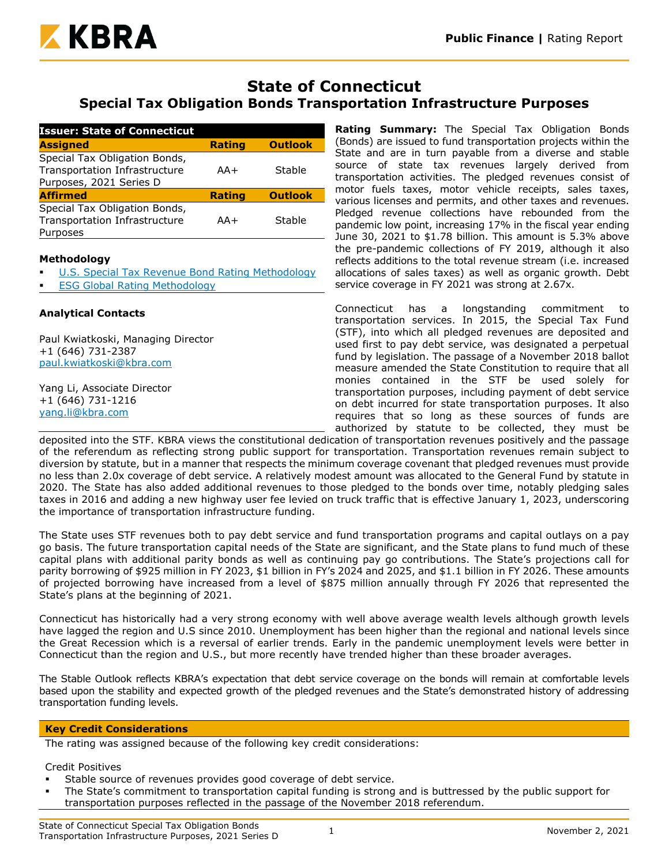

# **State of Connecticut Special Tax Obligation Bonds Transportation Infrastructure Purposes**

| <b>Issuer: State of Connecticut</b>                                                       |               |                |
|-------------------------------------------------------------------------------------------|---------------|----------------|
| <b>Assigned</b>                                                                           | <b>Rating</b> | <b>Outlook</b> |
| Special Tax Obligation Bonds,<br>Transportation Infrastructure<br>Purposes, 2021 Series D | $AA+$         | Stable         |
| <b>Affirmed</b>                                                                           | <b>Rating</b> | <b>Outlook</b> |
| Special Tax Obligation Bonds,<br>Transportation Infrastructure<br>Purposes                | $AA+$         | Stable         |

#### **Methodology**

- [U.S. Special Tax Revenue Bond Rating Methodology](https://www.kbra.com/documents/report/197/public-finance-u-s-special-tax-revenue-bond-rating-methodology)
- **[ESG Global Rating Methodology](https://www.kbra.com/documents/report/47746/esg-global-rating-methodology)**

#### **Analytical Contacts**

Paul Kwiatkoski, Managing Director +1 (646) 731-2387 [paul.kwiatkoski@kbra.com](mailto:paul.kwiatkoski@kbra.com)

Yang Li, Associate Director +1 (646) 731-1216 [yang.li@kbra.com](mailto:yang.li@kbra.com)

**Rating Summary:** The Special Tax Obligation Bonds (Bonds) are issued to fund transportation projects within the State and are in turn payable from a diverse and stable source of state tax revenues largely derived from transportation activities. The pledged revenues consist of motor fuels taxes, motor vehicle receipts, sales taxes, various licenses and permits, and other taxes and revenues. Pledged revenue collections have rebounded from the pandemic low point, increasing 17% in the fiscal year ending June 30, 2021 to \$1.78 billion. This amount is 5.3% above the pre-pandemic collections of FY 2019, although it also reflects additions to the total revenue stream (i.e. increased allocations of sales taxes) as well as organic growth. Debt service coverage in FY 2021 was strong at 2.67x.

Connecticut has a longstanding commitment to transportation services. In 2015, the Special Tax Fund (STF), into which all pledged revenues are deposited and used first to pay debt service, was designated a perpetual fund by legislation. The passage of a November 2018 ballot measure amended the State Constitution to require that all monies contained in the STF be used solely for transportation purposes, including payment of debt service on debt incurred for state transportation purposes. It also requires that so long as these sources of funds are authorized by statute to be collected, they must be

deposited into the STF. KBRA views the constitutional dedication of transportation revenues positively and the passage of the referendum as reflecting strong public support for transportation. Transportation revenues remain subject to diversion by statute, but in a manner that respects the minimum coverage covenant that pledged revenues must provide no less than 2.0x coverage of debt service. A relatively modest amount was allocated to the General Fund by statute in 2020. The State has also added additional revenues to those pledged to the bonds over time, notably pledging sales taxes in 2016 and adding a new highway user fee levied on truck traffic that is effective January 1, 2023, underscoring the importance of transportation infrastructure funding.

The State uses STF revenues both to pay debt service and fund transportation programs and capital outlays on a pay go basis. The future transportation capital needs of the State are significant, and the State plans to fund much of these capital plans with additional parity bonds as well as continuing pay go contributions. The State's projections call for parity borrowing of \$925 million in FY 2023, \$1 billion in FY's 2024 and 2025, and \$1.1 billion in FY 2026. These amounts of projected borrowing have increased from a level of \$875 million annually through FY 2026 that represented the State's plans at the beginning of 2021.

Connecticut has historically had a very strong economy with well above average wealth levels although growth levels have lagged the region and U.S since 2010. Unemployment has been higher than the regional and national levels since the Great Recession which is a reversal of earlier trends. Early in the pandemic unemployment levels were better in Connecticut than the region and U.S., but more recently have trended higher than these broader averages.

The Stable Outlook reflects KBRA's expectation that debt service coverage on the bonds will remain at comfortable levels based upon the stability and expected growth of the pledged revenues and the State's demonstrated history of addressing transportation funding levels.

#### **Key Credit Considerations**

The rating was assigned because of the following key credit considerations:

Credit Positives

- Stable source of revenues provides good coverage of debt service.
- The State's commitment to transportation capital funding is strong and is buttressed by the public support for transportation purposes reflected in the passage of the November 2018 referendum.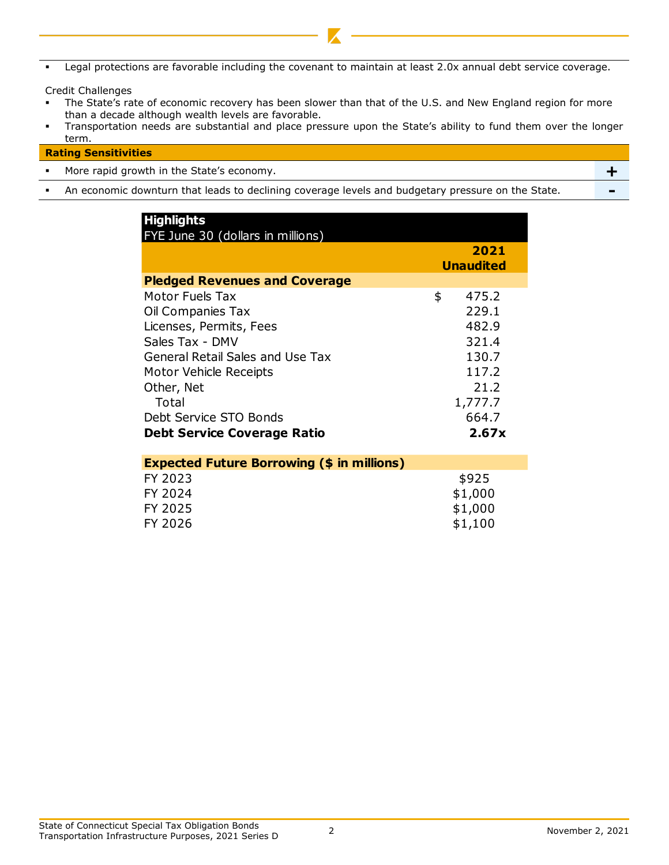Legal protections are favorable including the covenant to maintain at least 2.0x annual debt service coverage.

Credit Challenges

- The State's rate of economic recovery has been slower than that of the U.S. and New England region for more than a decade although wealth levels are favorable.
- Transportation needs are substantial and place pressure upon the State's ability to fund them over the longer term.

#### **Rating Sensitivities**

- More rapid growth in the State's economy. **+**
- An economic downturn that leads to declining coverage levels and budgetary pressure on the State. **-**

| <b>Highlights</b><br>FYE June 30 (dollars in millions) |                          |
|--------------------------------------------------------|--------------------------|
|                                                        | 2021<br><b>Unaudited</b> |
|                                                        |                          |
| <b>Pledged Revenues and Coverage</b>                   |                          |
| Motor Fuels Tax                                        | \$<br>475.2              |
| Oil Companies Tax                                      | 229.1                    |
| Licenses, Permits, Fees                                | 482.9                    |
| Sales Tax - DMV                                        | 321.4                    |
| <b>General Retail Sales and Use Tax</b>                | 130.7                    |
| Motor Vehicle Receipts                                 | 117.2                    |
| Other, Net                                             | 21.2                     |
| Total                                                  | 1,777.7                  |
| Debt Service STO Bonds                                 | 664.7                    |
| <b>Debt Service Coverage Ratio</b>                     | 2.67x                    |
|                                                        |                          |
| <b>Expected Future Borrowing (\$ in millions)</b>      |                          |
| FY 2023                                                | \$925                    |
| FY 2024                                                | \$1,000                  |
| FY 2025                                                | \$1,000                  |
|                                                        |                          |
| FY 2026                                                | \$1,100                  |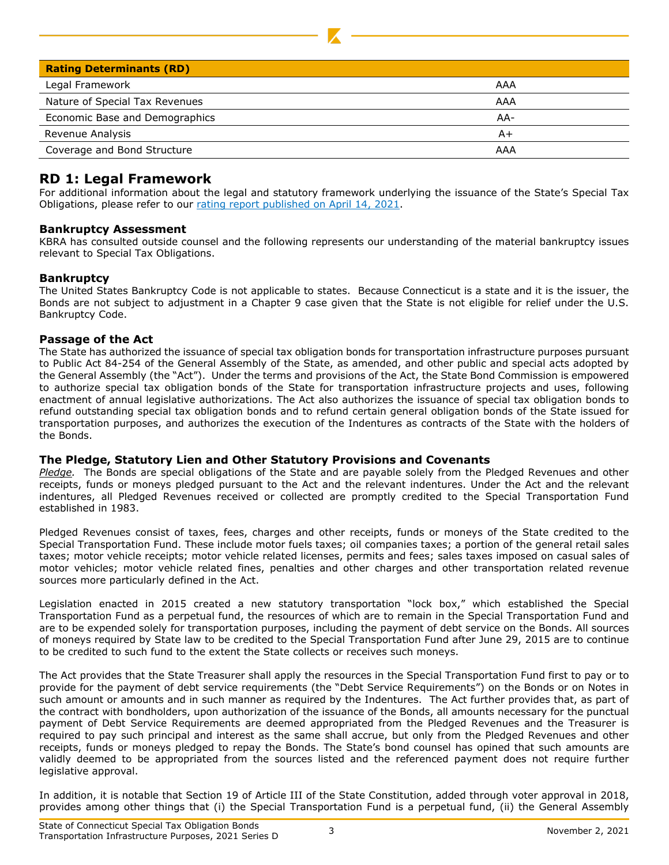| <b>Rating Determinants (RD)</b> |     |
|---------------------------------|-----|
| Legal Framework                 | AAA |
| Nature of Special Tax Revenues  | AAA |
| Economic Base and Demographics  | AA- |
| Revenue Analysis                | A+  |
| Coverage and Bond Structure     | AAA |

## **RD 1: Legal Framework**

For additional information about the legal and statutory framework underlying the issuance of the State's Special Tax Obligations, please refer to our [rating report published on April 14, 2021.](https://www.kbra.com/documents/report/47403/state-of-connecticut-special-tax-obligation-bonds-transportation-infrastructure-purposes-2021-series-a-b-and-c-rating-report)

#### **Bankruptcy Assessment**

KBRA has consulted outside counsel and the following represents our understanding of the material bankruptcy issues relevant to Special Tax Obligations.

#### **Bankruptcy**

The United States Bankruptcy Code is not applicable to states. Because Connecticut is a state and it is the issuer, the Bonds are not subject to adjustment in a Chapter 9 case given that the State is not eligible for relief under the U.S. Bankruptcy Code.

#### **Passage of the Act**

The State has authorized the issuance of special tax obligation bonds for transportation infrastructure purposes pursuant to Public Act 84-254 of the General Assembly of the State, as amended, and other public and special acts adopted by the General Assembly (the "Act"). Under the terms and provisions of the Act, the State Bond Commission is empowered to authorize special tax obligation bonds of the State for transportation infrastructure projects and uses, following enactment of annual legislative authorizations. The Act also authorizes the issuance of special tax obligation bonds to refund outstanding special tax obligation bonds and to refund certain general obligation bonds of the State issued for transportation purposes, and authorizes the execution of the Indentures as contracts of the State with the holders of the Bonds.

#### **The Pledge, Statutory Lien and Other Statutory Provisions and Covenants**

*Pledge.* The Bonds are special obligations of the State and are payable solely from the Pledged Revenues and other receipts, funds or moneys pledged pursuant to the Act and the relevant indentures. Under the Act and the relevant indentures, all Pledged Revenues received or collected are promptly credited to the Special Transportation Fund established in 1983.

Pledged Revenues consist of taxes, fees, charges and other receipts, funds or moneys of the State credited to the Special Transportation Fund. These include motor fuels taxes; oil companies taxes; a portion of the general retail sales taxes; motor vehicle receipts; motor vehicle related licenses, permits and fees; sales taxes imposed on casual sales of motor vehicles; motor vehicle related fines, penalties and other charges and other transportation related revenue sources more particularly defined in the Act.

Legislation enacted in 2015 created a new statutory transportation "lock box," which established the Special Transportation Fund as a perpetual fund, the resources of which are to remain in the Special Transportation Fund and are to be expended solely for transportation purposes, including the payment of debt service on the Bonds. All sources of moneys required by State law to be credited to the Special Transportation Fund after June 29, 2015 are to continue to be credited to such fund to the extent the State collects or receives such moneys.

The Act provides that the State Treasurer shall apply the resources in the Special Transportation Fund first to pay or to provide for the payment of debt service requirements (the "Debt Service Requirements") on the Bonds or on Notes in such amount or amounts and in such manner as required by the Indentures. The Act further provides that, as part of the contract with bondholders, upon authorization of the issuance of the Bonds, all amounts necessary for the punctual payment of Debt Service Requirements are deemed appropriated from the Pledged Revenues and the Treasurer is required to pay such principal and interest as the same shall accrue, but only from the Pledged Revenues and other receipts, funds or moneys pledged to repay the Bonds. The State's bond counsel has opined that such amounts are validly deemed to be appropriated from the sources listed and the referenced payment does not require further legislative approval.

In addition, it is notable that Section 19 of Article III of the State Constitution, added through voter approval in 2018, provides among other things that (i) the Special Transportation Fund is a perpetual fund, (ii) the General Assembly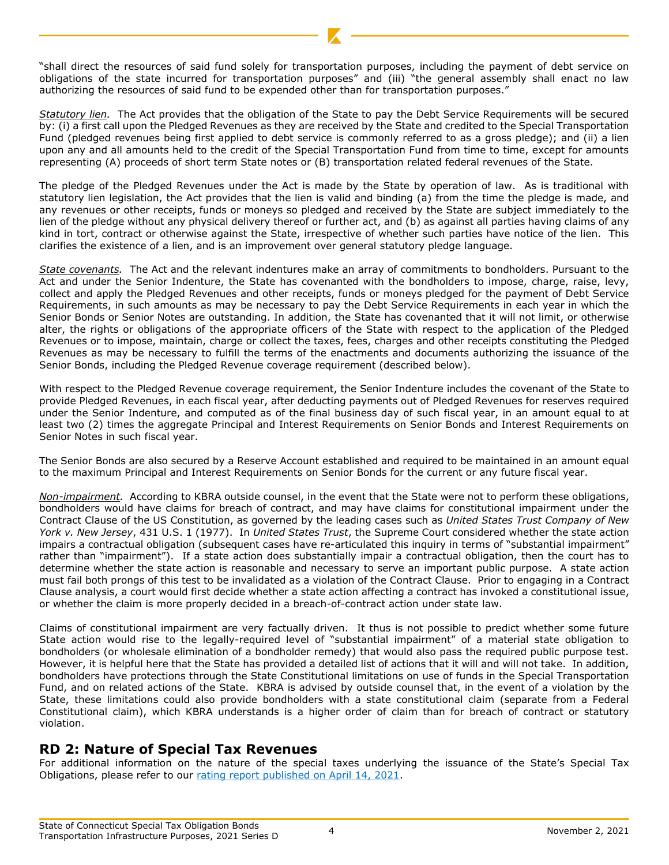"shall direct the resources of said fund solely for transportation purposes, including the payment of debt service on obligations of the state incurred for transportation purposes" and (iii) "the general assembly shall enact no law authorizing the resources of said fund to be expended other than for transportation purposes."

*Statutory lien.* The Act provides that the obligation of the State to pay the Debt Service Requirements will be secured by: (i) a first call upon the Pledged Revenues as they are received by the State and credited to the Special Transportation Fund (pledged revenues being first applied to debt service is commonly referred to as a gross pledge); and (ii) a lien upon any and all amounts held to the credit of the Special Transportation Fund from time to time, except for amounts representing (A) proceeds of short term State notes or (B) transportation related federal revenues of the State.

The pledge of the Pledged Revenues under the Act is made by the State by operation of law. As is traditional with statutory lien legislation, the Act provides that the lien is valid and binding (a) from the time the pledge is made, and any revenues or other receipts, funds or moneys so pledged and received by the State are subject immediately to the lien of the pledge without any physical delivery thereof or further act, and (b) as against all parties having claims of any kind in tort, contract or otherwise against the State, irrespective of whether such parties have notice of the lien. This clarifies the existence of a lien, and is an improvement over general statutory pledge language.

*State covenants.* The Act and the relevant indentures make an array of commitments to bondholders. Pursuant to the Act and under the Senior Indenture, the State has covenanted with the bondholders to impose, charge, raise, levy, collect and apply the Pledged Revenues and other receipts, funds or moneys pledged for the payment of Debt Service Requirements, in such amounts as may be necessary to pay the Debt Service Requirements in each year in which the Senior Bonds or Senior Notes are outstanding. In addition, the State has covenanted that it will not limit, or otherwise alter, the rights or obligations of the appropriate officers of the State with respect to the application of the Pledged Revenues or to impose, maintain, charge or collect the taxes, fees, charges and other receipts constituting the Pledged Revenues as may be necessary to fulfill the terms of the enactments and documents authorizing the issuance of the Senior Bonds, including the Pledged Revenue coverage requirement (described below).

With respect to the Pledged Revenue coverage requirement, the Senior Indenture includes the covenant of the State to provide Pledged Revenues, in each fiscal year, after deducting payments out of Pledged Revenues for reserves required under the Senior Indenture, and computed as of the final business day of such fiscal year, in an amount equal to at least two (2) times the aggregate Principal and Interest Requirements on Senior Bonds and Interest Requirements on Senior Notes in such fiscal year.

The Senior Bonds are also secured by a Reserve Account established and required to be maintained in an amount equal to the maximum Principal and Interest Requirements on Senior Bonds for the current or any future fiscal year.

*Non-impairment.* According to KBRA outside counsel, in the event that the State were not to perform these obligations, bondholders would have claims for breach of contract, and may have claims for constitutional impairment under the Contract Clause of the US Constitution, as governed by the leading cases such as *United States Trust Company of New York v. New Jersey*, 431 U.S. 1 (1977). In *United States Trust*, the Supreme Court considered whether the state action impairs a contractual obligation (subsequent cases have re-articulated this inquiry in terms of "substantial impairment" rather than "impairment"). If a state action does substantially impair a contractual obligation, then the court has to determine whether the state action is reasonable and necessary to serve an important public purpose. A state action must fail both prongs of this test to be invalidated as a violation of the Contract Clause. Prior to engaging in a Contract Clause analysis, a court would first decide whether a state action affecting a contract has invoked a constitutional issue, or whether the claim is more properly decided in a breach-of-contract action under state law.

Claims of constitutional impairment are very factually driven. It thus is not possible to predict whether some future State action would rise to the legally-required level of "substantial impairment" of a material state obligation to bondholders (or wholesale elimination of a bondholder remedy) that would also pass the required public purpose test. However, it is helpful here that the State has provided a detailed list of actions that it will and will not take. In addition, bondholders have protections through the State Constitutional limitations on use of funds in the Special Transportation Fund, and on related actions of the State. KBRA is advised by outside counsel that, in the event of a violation by the State, these limitations could also provide bondholders with a state constitutional claim (separate from a Federal Constitutional claim), which KBRA understands is a higher order of claim than for breach of contract or statutory violation.

## **RD 2: Nature of Special Tax Revenues**

For additional information on the nature of the special taxes underlying the issuance of the State's Special Tax Obligations, please refer to our [rating report published on April 14, 2021.](https://www.kbra.com/documents/report/47403/state-of-connecticut-special-tax-obligation-bonds-transportation-infrastructure-purposes-2021-series-a-b-and-c-rating-report)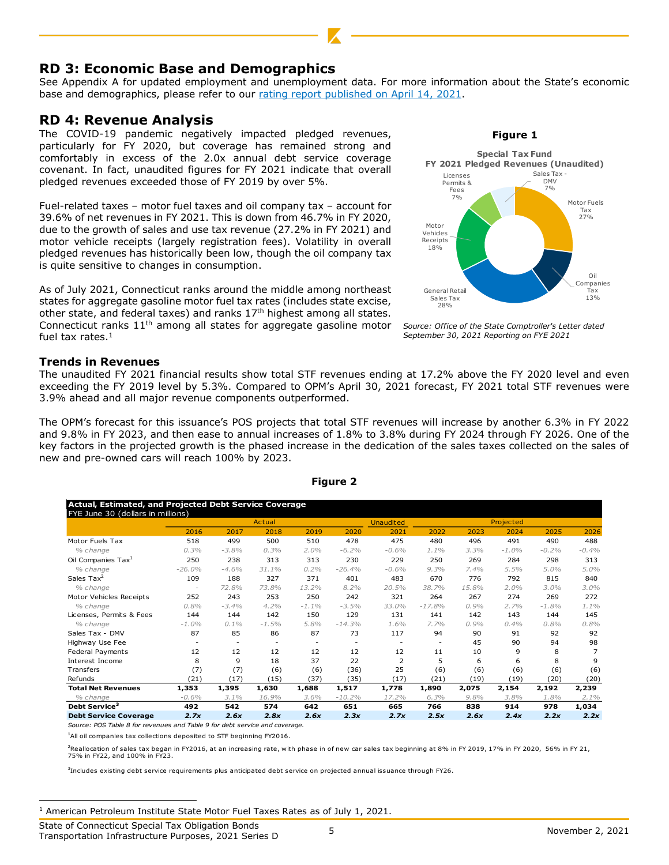## **RD 3: Economic Base and Demographics**

See Appendix A for updated employment and unemployment data. For more information about the State's economic base and demographics, please refer to our [rating report published on April 14, 2021.](https://www.kbra.com/documents/report/47403/state-of-connecticut-special-tax-obligation-bonds-transportation-infrastructure-purposes-2021-series-a-b-and-c-rating-report)

## **RD 4: Revenue Analysis**

The COVID-19 pandemic negatively impacted pledged revenues, particularly for FY 2020, but coverage has remained strong and comfortably in excess of the 2.0x annual debt service coverage covenant. In fact, unaudited figures for FY 2021 indicate that overall pledged revenues exceeded those of FY 2019 by over 5%.

Fuel-related taxes – motor fuel taxes and oil company tax – account for 39.6% of net revenues in FY 2021. This is down from 46.7% in FY 2020, due to the growth of sales and use tax revenue (27.2% in FY 2021) and motor vehicle receipts (largely registration fees). Volatility in overall pledged revenues has historically been low, though the oil company tax is quite sensitive to changes in consumption.

As of July 2021, Connecticut ranks around the middle among northeast states for aggregate gasoline motor fuel tax rates (includes state excise, other state, and federal taxes) and ranks  $17<sup>th</sup>$  highest among all states. Connecticut ranks  $11<sup>th</sup>$  among all states for aggregate gasoline motor fuel tax rates. $<sup>1</sup>$ </sup>

#### **Trends in Revenues**

The unaudited FY 2021 financial results show total STF revenues ending at 17.2% above the FY 2020 level and even exceeding the FY 2019 level by 5.3%. Compared to OPM's April 30, 2021 forecast, FY 2021 total STF revenues were 3.9% ahead and all major revenue components outperformed.

The OPM's forecast for this issuance's POS projects that total STF revenues will increase by another 6.3% in FY 2022 and 9.8% in FY 2023, and then ease to annual increases of 1.8% to 3.8% during FY 2024 through FY 2026. One of the key factors in the projected growth is the phased increase in the dedication of the sales taxes collected on the sales of new and pre-owned cars will reach 100% by 2023.

|          |                                   | Actual  |          |          | <b>Unaudited</b> |          |       |         |           |                |
|----------|-----------------------------------|---------|----------|----------|------------------|----------|-------|---------|-----------|----------------|
| 2016     | 2017                              | 2018    | 2019     | 2020     | 2021             | 2022     | 2023  | 2024    | 2025      | 2026           |
| 518      | 499                               | 500     | 510      | 478      | 475              | 480      | 496   | 491     | 490       | 488            |
| 0.3%     | $-3.8%$                           | 0.3%    | $2.0\%$  | $-6.2%$  | $-0.6%$          | 1.1%     | 3.3%  | $-1.0%$ | $-0.2%$   | $-0.4%$        |
| 250      | 238                               | 313     | 313      | 230      | 229              | 250      | 269   | 284     | 298       | 313            |
| $-26.0%$ | $-4.6%$                           | 31.1%   | 0.2%     | $-26.4%$ | $-0.6%$          | 9.3%     | 7.4%  | 5.5%    | 5.0%      | 5.0%           |
| 109      | 188                               | 327     | 371      | 401      | 483              | 670      | 776   | 792     | 815       | 840            |
|          | 72.8%                             | 73.8%   | 13.2%    | 8.2%     | 20.5%            | 38.7%    | 15.8% | 2.0%    | 3.0%      | 3.0%           |
| 252      | 243                               | 253     | 250      | 242      | 321              | 264      | 267   | 274     | 269       | 272            |
| 0.8%     | $-3.4%$                           | 4.2%    | $-1.1\%$ | $-3.5%$  | 33.0%            | $-17.8%$ | 0.9%  | 2.7%    | $-1.8%$   | 1.1%           |
| 144      | 144                               | 142     | 150      | 129      | 131              | 141      | 142   | 143     | 144       | 145            |
| $-1.0%$  | $0.1\%$                           | $-1.5%$ | 5.8%     | $-14.3%$ | 1.6%             | 7.7%     | 0.9%  | 0.4%    | 0.8%      | 0.8%           |
| 87       | 85                                | 86      | 87       | 73       | 117              | 94       | 90    | 91      | 92        | 92             |
| ٠        | ٠                                 | ٠       | ٠        | ٠        | ٠                | ٠        | 45    | 90      | 94        | 98             |
| 12       | 12                                | 12      | 12       | 12       | 12               | 11       | 10    | 9       | 8         | $\overline{7}$ |
| 8        | 9                                 | 18      | 37       | 22       | $\overline{2}$   | 5        | 6     | 6       | 8         | 9              |
| (7)      | (7)                               | (6)     | (6)      | (36)     | 25               | (6)      | (6)   | (6)     | (6)       | (6)            |
| (21)     | (17)                              | (15)    | (37)     | (35)     | (17)             | (21)     | (19)  | (19)    | (20)      | (20)           |
| 1,353    | 1,395                             | 1,630   | 1,688    | 1,517    | 1,778            | 1,890    | 2,075 | 2,154   | 2,192     | 2,239          |
| $-0.6%$  | 3.1%                              | 16.9%   | 3.6%     | $-10.2%$ | 17.2%            | 6.3%     | 9.8%  | 3.8%    | 1.8%      | $2.1\%$        |
|          |                                   |         |          |          |                  |          |       |         |           |                |
| 492      | 542                               | 574     | 642      | 651      | 665              | 766      | 838   | 914     | 978       | 1,034          |
|          | FYE June 30 (dollars in millions) |         |          |          |                  |          |       |         | Projected |                |

#### **Figure 2**

*Source: POS Table 8 for revenues and Table 9 for debt service and coverage.*

 $1$ All oil companies tax collections deposited to STF beginning FY2016.

<sup>2</sup>Reallocation of sales tax began in FY2016, at an increasing rate, with phase in of new car sales tax beginning at 8% in FY 2019, 17% in FY 2020, 56% in FY 21, 75% in FY22, and 100% in FY23.

3 Includes existing debt service requirements plus anticipated debt service on projected annual issuance through FY26.

 $1$  American Petroleum Institute State Motor Fuel Taxes Rates as of July 1, 2021.

**Figure 1**



*Source: Office of the State Comptroller's Letter dated September 30, 2021 Reporting on FYE 2021*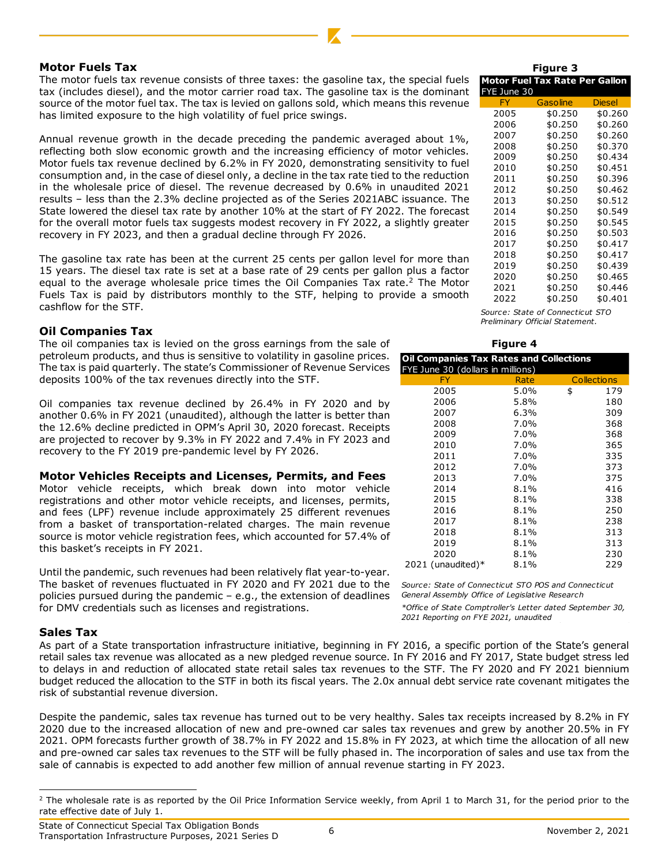#### **Motor Fuels Tax**

The motor fuels tax revenue consists of three taxes: the gasoline tax, the special fuels tax (includes diesel), and the motor carrier road tax. The gasoline tax is the dominant source of the motor fuel tax. The tax is levied on gallons sold, which means this revenue has limited exposure to the high volatility of fuel price swings.

Annual revenue growth in the decade preceding the pandemic averaged about 1%, reflecting both slow economic growth and the increasing efficiency of motor vehicles. Motor fuels tax revenue declined by 6.2% in FY 2020, demonstrating sensitivity to fuel consumption and, in the case of diesel only, a decline in the tax rate tied to the reduction in the wholesale price of diesel. The revenue decreased by 0.6% in unaudited 2021 results – less than the 2.3% decline projected as of the Series 2021ABC issuance. The State lowered the diesel tax rate by another 10% at the start of FY 2022. The forecast for the overall motor fuels tax suggests modest recovery in FY 2022, a slightly greater recovery in FY 2023, and then a gradual decline through FY 2026.

The gasoline tax rate has been at the current 25 cents per gallon level for more than 15 years. The diesel tax rate is set at a base rate of 29 cents per gallon plus a factor equal to the average wholesale price times the Oil Companies Tax rate. $<sup>2</sup>$  The Motor</sup> Fuels Tax is paid by distributors monthly to the STF, helping to provide a smooth cashflow for the STF.

#### **Oil Companies Tax**

The oil companies tax is levied on the gross earnings from the sale of petroleum products, and thus is sensitive to volatility in gasoline prices. The tax is paid quarterly. The state's Commissioner of Revenue Services deposits 100% of the tax revenues directly into the STF.

Oil companies tax revenue declined by 26.4% in FY 2020 and by another 0.6% in FY 2021 (unaudited), although the latter is better than the 12.6% decline predicted in OPM's April 30, 2020 forecast. Receipts are projected to recover by 9.3% in FY 2022 and 7.4% in FY 2023 and recovery to the FY 2019 pre-pandemic level by FY 2026.

#### **Motor Vehicles Receipts and Licenses, Permits, and Fees**

Motor vehicle receipts, which break down into motor vehicle registrations and other motor vehicle receipts, and licenses, permits, and fees (LPF) revenue include approximately 25 different revenues from a basket of transportation-related charges. The main revenue source is motor vehicle registration fees, which accounted for 57.4% of this basket's receipts in FY 2021.

Until the pandemic, such revenues had been relatively flat year-to-year. The basket of revenues fluctuated in FY 2020 and FY 2021 due to the *Source: State of Connecticut STO POS and Connecticut*  policies pursued during the pandemic – e.g., the extension of deadlines *General Assembly Office of Legislative Research*  for DMV credentials such as licenses and registrations.

#### **Sales Tax**

As part of a State transportation infrastructure initiative, beginning in FY 2016, a specific portion of the State's general retail sales tax revenue was allocated as a new pledged revenue source. In FY 2016 and FY 2017, State budget stress led to delays in and reduction of allocated state retail sales tax revenues to the STF. The FY 2020 and FY 2021 biennium budget reduced the allocation to the STF in both its fiscal years. The 2.0x annual debt service rate covenant mitigates the risk of substantial revenue diversion.

Despite the pandemic, sales tax revenue has turned out to be very healthy. Sales tax receipts increased by 8.2% in FY 2020 due to the increased allocation of new and pre-owned car sales tax revenues and grew by another 20.5% in FY 2021. OPM forecasts further growth of 38.7% in FY 2022 and 15.8% in FY 2023, at which time the allocation of all new and pre-owned car sales tax revenues to the STF will be fully phased in. The incorporation of sales and use tax from the sale of cannabis is expected to add another few million of annual revenue starting in FY 2023.

#### Gasoline Diesel 2005 \$0.250 \$0.260 2006 \$0.250 \$0.260 2007 \$0.250 \$0.260 2008 \$0.250 \$0.370 2009 \$0.250 \$0.434 2010 \$0.250 \$0.451 2011 \$0.250 \$0.396 2012 \$0.250 \$0.462 2013 \$0.250 \$0.512 2014 \$0.250 \$0.549 2015 \$0.250 \$0.545 2016 \$0.250 \$0.503 2017 \$0.250 \$0.417 2018 \$0.250 \$0.417<br>2019 \$0.250 \$0.439 2019 \$0.250 \$0.439 2020 \$0.250 \$0.465 2021 \$0.250 \$0.446 2022 \$0.250 \$0.401 **Motor Fuel Tax Rate Per Gallon** FYE June 30 **Figure 3**

*Source: State of Connecticut STO Preliminary Official Statement.*

#### **Figure 4**

| <b>Oil Companies Tax Rates and Collections</b><br>FYE June 30 (dollars in millions) |         |                    |
|-------------------------------------------------------------------------------------|---------|--------------------|
| FY                                                                                  | Rate    | <b>Collections</b> |
| 2005                                                                                | 5.0%    | \$<br>179          |
| 2006                                                                                | 5.8%    | 180                |
| 2007                                                                                | 6.3%    | 309                |
| 2008                                                                                | 7.0%    | 368                |
| 2009                                                                                | 7.0%    | 368                |
| 2010                                                                                | 7.0%    | 365                |
| 2011                                                                                | 7.0%    | 335                |
| 2012                                                                                | 7.0%    | 373                |
| 2013                                                                                | 7.0%    | 375                |
| 2014                                                                                | $8.1\%$ | 416                |
| 2015                                                                                | 8.1%    | 338                |
| 2016                                                                                | 8.1%    | 250                |
| 2017                                                                                | 8.1%    | 238                |
| 2018                                                                                | 8.1%    | 313                |
| 2019                                                                                | 8.1%    | 313                |
| 2020                                                                                | 8.1%    | 230                |
| 2021 (unaudited) $*$                                                                | 8.1%    | 229                |

*\*Office of State Comptroller's Letter dated September 30, 2021 Reporting on FYE 2021, unaudited*

 $2$  The wholesale rate is as reported by the Oil Price Information Service weekly, from April 1 to March 31, for the period prior to the rate effective date of July 1.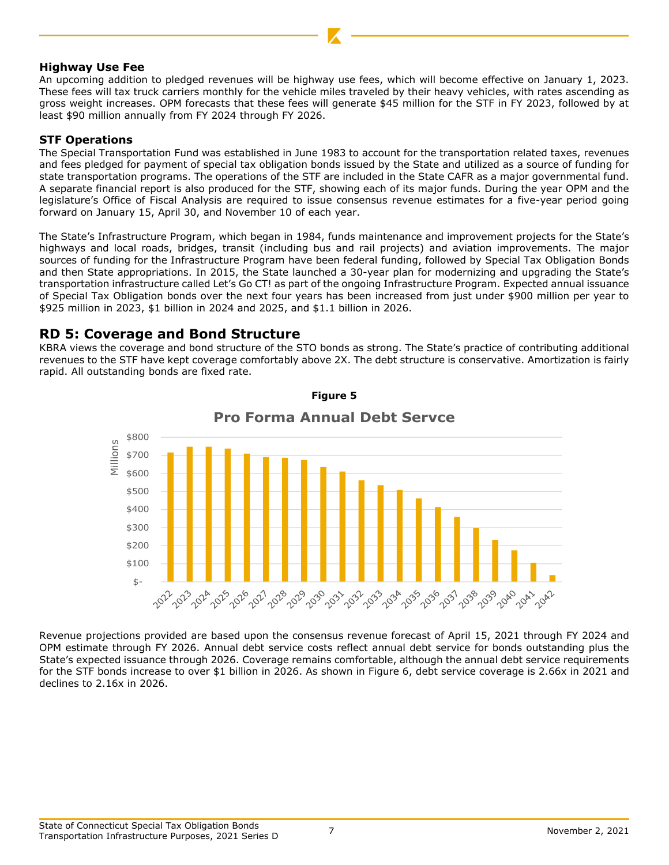#### **Highway Use Fee**

An upcoming addition to pledged revenues will be highway use fees, which will become effective on January 1, 2023. These fees will tax truck carriers monthly for the vehicle miles traveled by their heavy vehicles, with rates ascending as gross weight increases. OPM forecasts that these fees will generate \$45 million for the STF in FY 2023, followed by at least \$90 million annually from FY 2024 through FY 2026.

#### **STF Operations**

The Special Transportation Fund was established in June 1983 to account for the transportation related taxes, revenues and fees pledged for payment of special tax obligation bonds issued by the State and utilized as a source of funding for state transportation programs. The operations of the STF are included in the State CAFR as a major governmental fund. A separate financial report is also produced for the STF, showing each of its major funds. During the year OPM and the legislature's Office of Fiscal Analysis are required to issue consensus revenue estimates for a five-year period going forward on January 15, April 30, and November 10 of each year.

The State's Infrastructure Program, which began in 1984, funds maintenance and improvement projects for the State's highways and local roads, bridges, transit (including bus and rail projects) and aviation improvements. The major sources of funding for the Infrastructure Program have been federal funding, followed by Special Tax Obligation Bonds and then State appropriations. In 2015, the State launched a 30-year plan for modernizing and upgrading the State's transportation infrastructure called Let's Go CT! as part of the ongoing Infrastructure Program. Expected annual issuance of Special Tax Obligation bonds over the next four years has been increased from just under \$900 million per year to \$925 million in 2023, \$1 billion in 2024 and 2025, and \$1.1 billion in 2026.

## **RD 5: Coverage and Bond Structure**

KBRA views the coverage and bond structure of the STO bonds as strong. The State's practice of contributing additional revenues to the STF have kept coverage comfortably above 2X. The debt structure is conservative. Amortization is fairly rapid. All outstanding bonds are fixed rate.



## **Pro Forma Annual Debt Servce**

**Figure 5**

Revenue projections provided are based upon the consensus revenue forecast of April 15, 2021 through FY 2024 and OPM estimate through FY 2026. Annual debt service costs reflect annual debt service for bonds outstanding plus the State's expected issuance through 2026. Coverage remains comfortable, although the annual debt service requirements for the STF bonds increase to over \$1 billion in 2026. As shown in Figure 6, debt service coverage is 2.66x in 2021 and declines to 2.16x in 2026.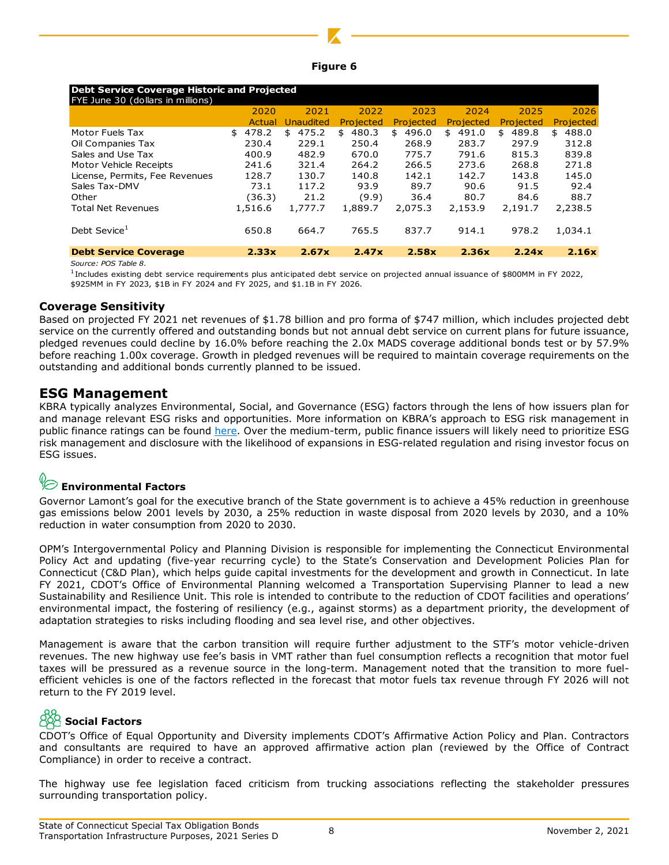| laur: |  |
|-------|--|
|       |  |

| <b>Debt Service Coverage Historic and Projected</b><br>FYE June 30 (dollars in millions)                                                                                                                              |         |                         |           |           |           |           |           |
|-----------------------------------------------------------------------------------------------------------------------------------------------------------------------------------------------------------------------|---------|-------------------------|-----------|-----------|-----------|-----------|-----------|
|                                                                                                                                                                                                                       | 2020    | 2021                    | 2022      | 2023      | 2024      | 2025      | 2026      |
|                                                                                                                                                                                                                       |         | <b>Actual Unaudited</b> | Projected | Projected | Projected | Projected | Projected |
| Motor Fuels Tax                                                                                                                                                                                                       | \$478.2 | \$475.2                 | \$480.3   | \$496.0   | \$491.0   | \$489.8   | \$488.0   |
| Oil Companies Tax                                                                                                                                                                                                     | 230.4   | 229.1                   | 250.4     | 268.9     | 283.7     | 297.9     | 312.8     |
| Sales and Use Tax                                                                                                                                                                                                     | 400.9   | 482.9                   | 670.0     | 775.7     | 791.6     | 815.3     | 839.8     |
| Motor Vehicle Receipts                                                                                                                                                                                                | 241.6   | 321.4                   | 264.2     | 266.5     | 273.6     | 268.8     | 271.8     |
| License, Permits, Fee Revenues                                                                                                                                                                                        | 128.7   | 130.7                   | 140.8     | 142.1     | 142.7     | 143.8     | 145.0     |
| Sales Tax-DMV                                                                                                                                                                                                         | 73.1    | 117.2                   | 93.9      | 89.7      | 90.6      | 91.5      | 92.4      |
| Other                                                                                                                                                                                                                 | (36.3)  | 21.2                    | (9.9)     | 36.4      | 80.7      | 84.6      | 88.7      |
| <b>Total Net Revenues</b>                                                                                                                                                                                             | 1,516.6 | 1,777.7                 | 1,889.7   | 2,075.3   | 2,153.9   | 2,191.7   | 2,238.5   |
| Debt Sevice <sup>1</sup>                                                                                                                                                                                              | 650.8   | 664.7                   | 765.5     | 837.7     | 914.1     | 978.2     | 1,034.1   |
| <b>Debt Service Coverage</b>                                                                                                                                                                                          | 2.33x   | 2.67x                   | 2.47x     | 2.58x     | 2.36x     | 2.24x     | 2.16x     |
| Source: POS Table 8.                                                                                                                                                                                                  |         |                         |           |           |           |           |           |
| <sup>1</sup> Includes existing debt service requirements plus anticipated debt service on projected annual issuance of \$800MM in FY 2022,<br>\$925MM in FY 2023, \$1B in FY 2024 and FY 2025, and \$1.1B in FY 2026. |         |                         |           |           |           |           |           |
| <b>Coverage Sensitivity</b>                                                                                                                                                                                           |         |                         |           |           |           |           |           |
| Based on projected FY 2021 net revenues of \$1.78 billion and pro forma of \$747 million, which includes projected                                                                                                    |         |                         |           |           |           |           |           |
| service on the currently offered and outstanding bonds but not annual debt service on current plans for future issu                                                                                                   |         |                         |           |           |           |           |           |
| pledged revenues could decline by 16.0% before reaching the 2.0x MADS coverage additional bonds test or by 5                                                                                                          |         |                         |           |           |           |           |           |
| before reaching 1.00x coverage. Growth in pledged revenues will be required to maintain coverage requirements o                                                                                                       |         |                         |           |           |           |           |           |
|                                                                                                                                                                                                                       |         |                         |           |           |           |           |           |
| outstanding and additional bonds currently planned to be issued.                                                                                                                                                      |         |                         |           |           |           |           |           |
|                                                                                                                                                                                                                       |         |                         |           |           |           |           |           |
| <b>ESG Management</b>                                                                                                                                                                                                 |         |                         |           |           |           |           |           |
| KBRA typically analyzes Environmental, Social, and Governance (ESG) factors through the lens of how issuers pl                                                                                                        |         |                         |           |           |           |           |           |
| and manage relevant ESG risks and opportunities. More information on KBRA's approach to ESG risk managem                                                                                                              |         |                         |           |           |           |           |           |
| public finance ratings can be found here. Over the medium-term, public finance issuers will likely need to prioritiz                                                                                                  |         |                         |           |           |           |           |           |
| risk management and disclosure with the likelihood of expansions in ESG-related regulation and rising investor foo                                                                                                    |         |                         |           |           |           |           |           |
| ESG issues.                                                                                                                                                                                                           |         |                         |           |           |           |           |           |
|                                                                                                                                                                                                                       |         |                         |           |           |           |           |           |
| $\textcolor{red}{\textcircled{\ensuremath{\sim}}}$ Environmental Factors                                                                                                                                              |         |                         |           |           |           |           |           |
|                                                                                                                                                                                                                       |         |                         |           |           |           |           |           |
| Governor Lamont's goal for the executive branch of the State government is to achieve a 45% reduction in green                                                                                                        |         |                         |           |           |           |           |           |
| gas emissions below 2001 levels by 2030, a 25% reduction in waste disposal from 2020 levels by 2030, and a                                                                                                            |         |                         |           |           |           |           |           |
| reduction in water consumption from 2020 to 2030.                                                                                                                                                                     |         |                         |           |           |           |           |           |
|                                                                                                                                                                                                                       |         |                         |           |           |           |           |           |
| OPM's Intergovernmental Policy and Planning Division is responsible for implementing the Connecticut Environn                                                                                                         |         |                         |           |           |           |           |           |
| Policy Act and updating (five-year recurring cycle) to the State's Conservation and Development Policies Pla                                                                                                          |         |                         |           |           |           |           |           |
| Connecticut (C&D Plan), which helps guide capital investments for the development and growth in Connecticut. I                                                                                                        |         |                         |           |           |           |           |           |
|                                                                                                                                                                                                                       |         |                         |           |           |           |           |           |
| FY 2021, CDOT's Office of Environmental Planning welcomed a Transportation Supervising Planner to lead a                                                                                                              |         |                         |           |           |           |           |           |
| Sustainability and Resilience Unit. This role is intended to contribute to the reduction of CDOT facilities and opera                                                                                                 |         |                         |           |           |           |           |           |
| environmental impact, the fostering of resiliency (e.g., against storms) as a department priority, the developm                                                                                                       |         |                         |           |           |           |           |           |
| adaptation strategies to risks including flooding and sea level rise, and other objectives.                                                                                                                           |         |                         |           |           |           |           |           |
|                                                                                                                                                                                                                       |         |                         |           |           |           |           |           |
| Management is aware that the carbon transition will require further adjustment to the STF's motor vehicle-o                                                                                                           |         |                         |           |           |           |           |           |
| revenues. The new highway use fee's basis in VMT rather than fuel consumption reflects a recognition that moto                                                                                                        |         |                         |           |           |           |           |           |
| taxes will be pressured as a revenue source in the long-term. Management noted that the transition to more                                                                                                            |         |                         |           |           |           |           |           |
| efficient vehicles is one of the factors reflected in the forecast that motor fuels tax revenue through FY 2026 w                                                                                                     |         |                         |           |           |           |           |           |
| return to the FY 2019 level.                                                                                                                                                                                          |         |                         |           |           |           |           |           |
|                                                                                                                                                                                                                       |         |                         |           |           |           |           |           |
| $\frac{88}{28}$ Social Factors                                                                                                                                                                                        |         |                         |           |           |           |           |           |
| CDOT's Office of Equal Opportunity and Diversity implements CDOT's Affirmative Action Policy and Plan. Contra                                                                                                         |         |                         |           |           |           |           |           |
| and consultants are required to have an approved affirmative action plan (reviewed by the Office of Co                                                                                                                |         |                         |           |           |           |           |           |
| Compliance) in order to receive a contract.                                                                                                                                                                           |         |                         |           |           |           |           |           |
|                                                                                                                                                                                                                       |         |                         |           |           |           |           |           |
| The highway use fee legislation faced criticism from trucking associations reflecting the stakeholder pres                                                                                                            |         |                         |           |           |           |           |           |
| surrounding transportation policy.                                                                                                                                                                                    |         |                         |           |           |           |           |           |

#### **Coverage Sensitivity**

Based on projected FY 2021 net revenues of \$1.78 billion and pro forma of \$747 million, which includes projected debt service on the currently offered and outstanding bonds but not annual debt service on current plans for future issuance, pledged revenues could decline by 16.0% before reaching the 2.0x MADS coverage additional bonds test or by 57.9% before reaching 1.00x coverage. Growth in pledged revenues will be required to maintain coverage requirements on the outstanding and additional bonds currently planned to be issued.

## **ESG Management**

KBRA typically analyzes Environmental, Social, and Governance (ESG) factors through the lens of how issuers plan for and manage relevant ESG risks and opportunities. More information on KBRA's approach to ESG risk management in public finance ratings can be found [here.](https://www.kbra.com/documents/report/56672/states-kbra-s-framework-for-incorporating-esg-risk-management-in-credit-ratings) Over the medium-term, public finance issuers will likely need to prioritize ESG risk management and disclosure with the likelihood of expansions in ESG-related regulation and rising investor focus on ESG issues.

# **Environmental Factors**

Governor Lamont's goal for the executive branch of the State government is to achieve a 45% reduction in greenhouse gas emissions below 2001 levels by 2030, a 25% reduction in waste disposal from 2020 levels by 2030, and a 10% reduction in water consumption from 2020 to 2030.

OPM's Intergovernmental Policy and Planning Division is responsible for implementing the Connecticut Environmental Policy Act and updating (five-year recurring cycle) to the State's Conservation and Development Policies Plan for Connecticut (C&D Plan), which helps guide capital investments for the development and growth in Connecticut. In late FY 2021, CDOT's Office of Environmental Planning welcomed a Transportation Supervising Planner to lead a new Sustainability and Resilience Unit. This role is intended to contribute to the reduction of CDOT facilities and operations' environmental impact, the fostering of resiliency (e.g., against storms) as a department priority, the development of adaptation strategies to risks including flooding and sea level rise, and other objectives.

Management is aware that the carbon transition will require further adjustment to the STF's motor vehicle-driven revenues. The new highway use fee's basis in VMT rather than fuel consumption reflects a recognition that motor fuel taxes will be pressured as a revenue source in the long-term. Management noted that the transition to more fuelefficient vehicles is one of the factors reflected in the forecast that motor fuels tax revenue through FY 2026 will not return to the FY 2019 level.

# **Social Factors**

CDOT's Office of Equal Opportunity and Diversity implements CDOT's Affirmative Action Policy and Plan. Contractors and consultants are required to have an approved affirmative action plan (reviewed by the Office of Contract Compliance) in order to receive a contract.

The highway use fee legislation faced criticism from trucking associations reflecting the stakeholder pressures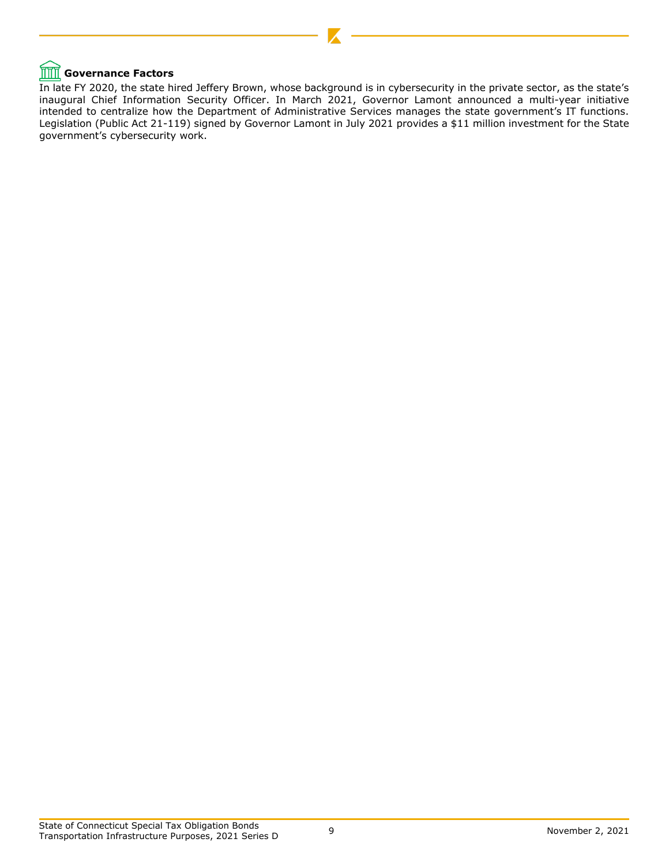# **THE** Governance Factors

In late FY 2020, the state hired Jeffery Brown, whose background is in cybersecurity in the private sector, as the state's inaugural Chief Information Security Officer. In March 2021, Governor Lamont announced a multi-year initiative intended to centralize how the Department of Administrative Services manages the state government's IT functions. Legislation (Public Act 21-119) signed by Governor Lamont in July 2021 provides a \$11 million investment for the State government's cybersecurity work.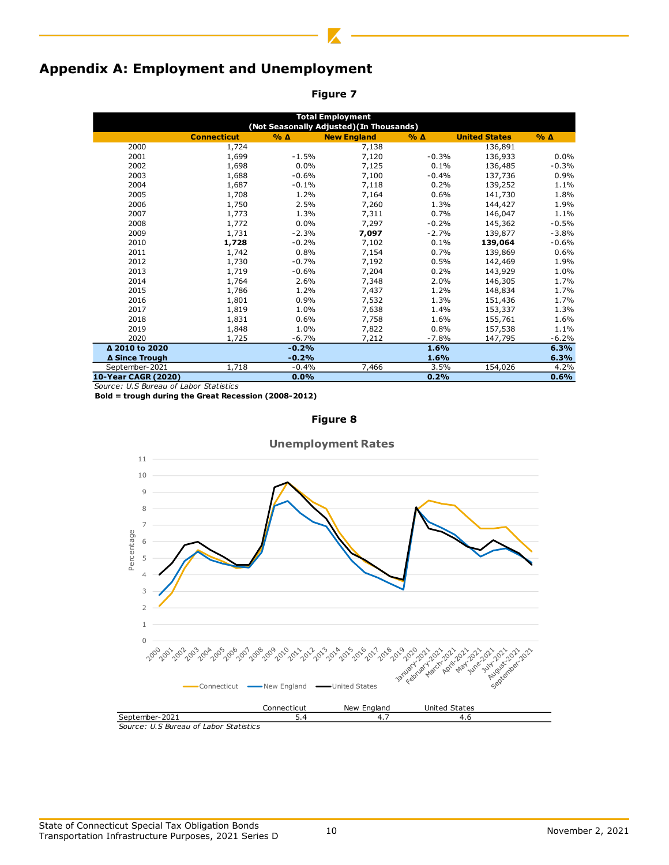# **Appendix A: Employment and Unemployment**

**Figure 7**

| <b>Total Employment</b>                  |                    |                 |                    |                 |                      |                 |  |  |  |
|------------------------------------------|--------------------|-----------------|--------------------|-----------------|----------------------|-----------------|--|--|--|
| (Not Seasonally Adjusted) (In Thousands) |                    |                 |                    |                 |                      |                 |  |  |  |
|                                          | <b>Connecticut</b> | $%$ $\triangle$ | <b>New England</b> | $%$ $\triangle$ | <b>United States</b> | $%$ $\triangle$ |  |  |  |
| 2000                                     | 1,724              |                 | 7,138              |                 | 136,891              |                 |  |  |  |
| 2001                                     | 1,699              | $-1.5%$         | 7,120              | $-0.3%$         | 136,933              | 0.0%            |  |  |  |
| 2002                                     | 1,698              | 0.0%            | 7,125              | 0.1%            | 136,485              | $-0.3%$         |  |  |  |
| 2003                                     | 1,688              | $-0.6%$         | 7,100              | $-0.4%$         | 137,736              | 0.9%            |  |  |  |
| 2004                                     | 1,687              | $-0.1%$         | 7,118              | 0.2%            | 139,252              | 1.1%            |  |  |  |
| 2005                                     | 1,708              | 1.2%            | 7,164              | 0.6%            | 141,730              | 1.8%            |  |  |  |
| 2006                                     | 1,750              | 2.5%            | 7,260              | 1.3%            | 144,427              | 1.9%            |  |  |  |
| 2007                                     | 1,773              | 1.3%            | 7,311              | 0.7%            | 146,047              | 1.1%            |  |  |  |
| 2008                                     | 1,772              | 0.0%            | 7,297              | $-0.2%$         | 145,362              | $-0.5%$         |  |  |  |
| 2009                                     | 1,731              | $-2.3%$         | 7,097              | $-2.7%$         | 139,877              | $-3.8%$         |  |  |  |
| 2010                                     | 1,728              | $-0.2%$         | 7,102              | 0.1%            | 139,064              | $-0.6%$         |  |  |  |
| 2011                                     | 1,742              | 0.8%            | 7,154              | 0.7%            | 139,869              | 0.6%            |  |  |  |
| 2012                                     | 1,730              | $-0.7%$         | 7,192              | 0.5%            | 142,469              | 1.9%            |  |  |  |
| 2013                                     | 1,719              | $-0.6%$         | 7,204              | 0.2%            | 143,929              | 1.0%            |  |  |  |
| 2014                                     | 1,764              | 2.6%            | 7,348              | 2.0%            | 146,305              | 1.7%            |  |  |  |
| 2015                                     | 1,786              | 1.2%            | 7,437              | 1.2%            | 148,834              | 1.7%            |  |  |  |
| 2016                                     | 1,801              | 0.9%            | 7,532              | 1.3%            | 151,436              | 1.7%            |  |  |  |
| 2017                                     | 1,819              | 1.0%            | 7,638              | 1.4%            | 153,337              | 1.3%            |  |  |  |
| 2018                                     | 1,831              | 0.6%            | 7,758              | 1.6%            | 155,761              | 1.6%            |  |  |  |
| 2019                                     | 1,848              | 1.0%            | 7,822              | 0.8%            | 157,538              | 1.1%            |  |  |  |
| 2020                                     | 1,725              | $-6.7%$         | 7,212              | $-7.8%$         | 147,795              | $-6.2%$         |  |  |  |
| Δ 2010 to 2020                           |                    | $-0.2%$         |                    | 1.6%            |                      | 6.3%            |  |  |  |
| ∆ Since Trough                           |                    | $-0.2%$         |                    | 1.6%            |                      | 6.3%            |  |  |  |
| September-2021                           | 1,718              | $-0.4%$         | 7,466              | 3.5%            | 154,026              | 4.2%            |  |  |  |
| 10-Year CAGR (2020)                      |                    | $0.0\%$         |                    | 0.2%            |                      | 0.6%            |  |  |  |

*Source: U.S Bureau of Labor Statistics*

**Bold = trough during the Great Recession (2008-2012)**





**Unemployment Rates**